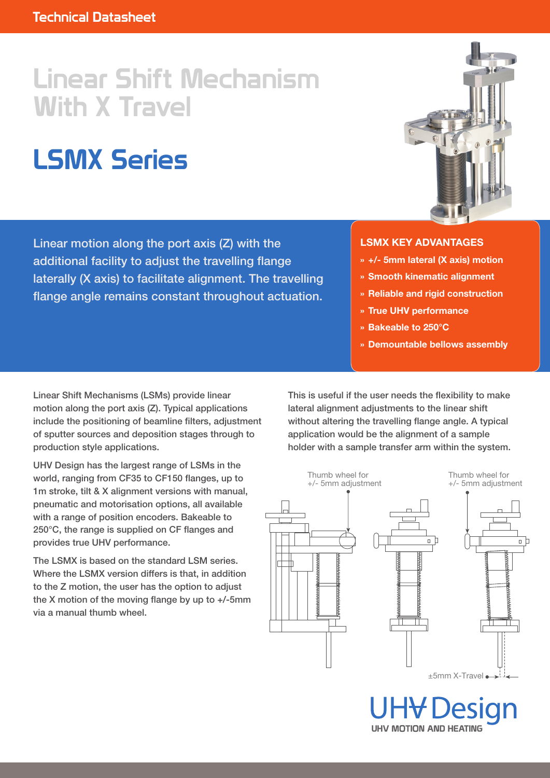## Linear Shift Mechanism With X Travel

# LSMX Series

Linear motion along the port axis (Z) with the additional facility to adjust the travelling flange laterally (X axis) to facilitate alignment. The travelling flange angle remains constant throughout actuation.



#### **LSMX KEY ADVANTAGES**

- **» +/- 5mm lateral (X axis) motion**
- **» Smooth kinematic alignment**
- **» Reliable and rigid construction**
- **» True UHV performance**
- **» Bakeable to 250°C**
- **» Demountable bellows assembly**

Linear Shift Mechanisms (LSMs) provide linear motion along the port axis (Z). Typical applications include the positioning of beamline filters, adjustment of sputter sources and deposition stages through to production style applications.

UHV Design has the largest range of LSMs in the world, ranging from CF35 to CF150 flanges, up to 1m stroke, tilt & X alignment versions with manual, pneumatic and motorisation options, all available with a range of position encoders. Bakeable to 250°C, the range is supplied on CF flanges and provides true UHV performance.

The LSMX is based on the standard LSM series. Where the LSMX version differs is that, in addition to the Z motion, the user has the option to adjust the X motion of the moving flange by up to +/-5mm via a manual thumb wheel.

This is useful if the user needs the flexibility to make lateral alignment adjustments to the linear shift without altering the travelling flange angle. A typical application would be the alignment of a sample holder with a sample transfer arm within the system.



**UHV MOTION AND HEATING**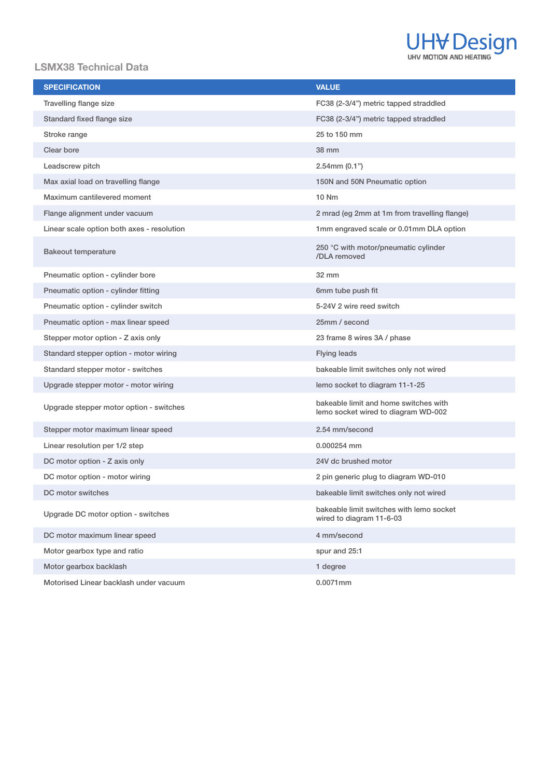

#### **LSMX38 Technical Data**

| <b>SPECIFICATION</b>                       | <b>VALUE</b>                                                                 |
|--------------------------------------------|------------------------------------------------------------------------------|
| Travelling flange size                     | FC38 (2-3/4") metric tapped straddled                                        |
| Standard fixed flange size                 | FC38 (2-3/4") metric tapped straddled                                        |
| Stroke range                               | 25 to 150 mm                                                                 |
| Clear bore                                 | <b>38 mm</b>                                                                 |
| Leadscrew pitch                            | $2.54$ mm $(0.1")$                                                           |
| Max axial load on travelling flange        | 150N and 50N Pneumatic option                                                |
| Maximum cantilevered moment                | 10 Nm                                                                        |
| Flange alignment under vacuum              | 2 mrad (eg 2mm at 1m from travelling flange)                                 |
| Linear scale option both axes - resolution | 1mm engraved scale or 0.01mm DLA option                                      |
| <b>Bakeout temperature</b>                 | 250 °C with motor/pneumatic cylinder<br>/DLA removed                         |
| Pneumatic option - cylinder bore           | 32 mm                                                                        |
| Pneumatic option - cylinder fitting        | 6mm tube push fit                                                            |
| Pneumatic option - cylinder switch         | 5-24V 2 wire reed switch                                                     |
| Pneumatic option - max linear speed        | 25mm / second                                                                |
| Stepper motor option - Z axis only         | 23 frame 8 wires 3A / phase                                                  |
| Standard stepper option - motor wiring     | <b>Flying leads</b>                                                          |
| Standard stepper motor - switches          | bakeable limit switches only not wired                                       |
| Upgrade stepper motor - motor wiring       | lemo socket to diagram 11-1-25                                               |
| Upgrade stepper motor option - switches    | bakeable limit and home switches with<br>lemo socket wired to diagram WD-002 |
| Stepper motor maximum linear speed         | 2.54 mm/second                                                               |
| Linear resolution per 1/2 step             | 0.000254 mm                                                                  |
| DC motor option - Z axis only              | 24V dc brushed motor                                                         |
| DC motor option - motor wiring             | 2 pin generic plug to diagram WD-010                                         |
| DC motor switches                          | bakeable limit switches only not wired                                       |
| Upgrade DC motor option - switches         | bakeable limit switches with lemo socket<br>wired to diagram 11-6-03         |
| DC motor maximum linear speed              | 4 mm/second                                                                  |
| Motor gearbox type and ratio               | spur and 25:1                                                                |
| Motor gearbox backlash                     | 1 degree                                                                     |
| Motorised Linear backlash under vacuum     | 0.0071mm                                                                     |